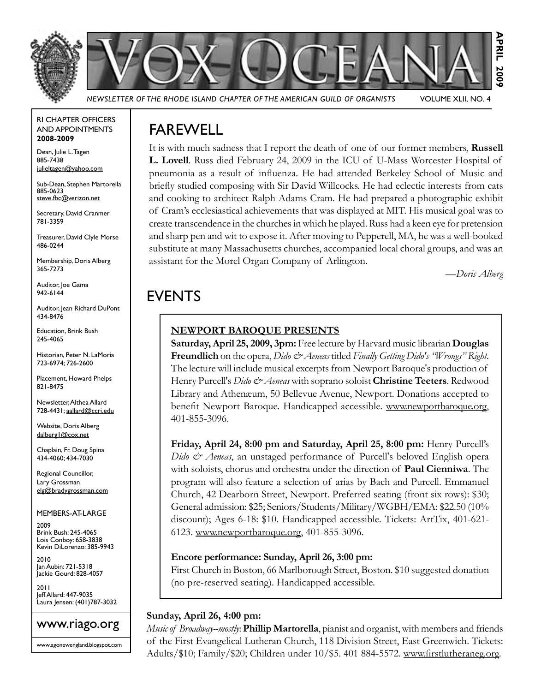



*Newsletter of the Rhode Island Chapter of the American Guild of Organists* Volume XLII, No. 4

#### RI Chapter Officers and Appointments **2008-2009**

Dean, Julie L. Tagen 885-7438 julieltagen@yahoo.com

Sub-Dean, Stephen Martorella 885-0623 steve.fbc@verizon.net

Secretary, David Cranmer 781-3359

Treasurer, David Clyle Morse 486-0244

Membership, Doris Alberg 365-7273

Auditor, Joe Gama 942-6144

Auditor, Jean Richard DuPont 434-8476

Education, Brink Bush 245-4065

Historian, Peter N. LaMoria 723-6974; 726-2600

Placement, Howard Phelps 821-8475

Newsletter, Althea Allard 728-4431; aallard@ccri.edu

Website, Doris Alberg dalberg1@cox.net

Chaplain, Fr. Doug Spina 434-4060; 434-7030

Regional Councillor, Lary Grossman elg@bradygrossman.com

#### Members-at-Large

2009 Brink Bush: 245-4065 Lois Conboy: 658-3838 Kevin DiLorenzo: 385-9943

2010 Jan Aubin: 721-5318 Jackie Gourd: 828-4057

2011 Jeff Allard: 447-9035 Laura Jensen: (401)787-3032

#### www.riago.org

www.agonewengland.blogspot.com

# **FAREWELL**

It is with much sadness that I report the death of one of our former members, **Russell L. Lovell**. Russ died February 24, 2009 in the ICU of U-Mass Worcester Hospital of pneumonia as a result of influenza. He had attended Berkeley School of Music and briefly studied composing with Sir David Willcocks. He had eclectic interests from cats and cooking to architect Ralph Adams Cram. He had prepared a photographic exhibit of Cram's ecclesiastical achievements that was displayed at MIT. His musical goal was to create transcendence in the churches in which he played. Russ had a keen eye for pretension and sharp pen and wit to expose it. After moving to Pepperell, MA, he was a well-booked substitute at many Massachusetts churches, accompanied local choral groups, and was an assistant for the Morel Organ Company of Arlington.

—*Doris Alberg*

# **EVENTS**

### **Newport Baroque Presents**

**Saturday, April 25, 2009, 3pm:** Free lecture by Harvard music librarian **Douglas Freundlich** on the opera, *Dido & Aeneas* titled *Finally Getting Dido's "Wrongs" Right*. The lecture will include musical excerpts from Newport Baroque's production of Henry Purcell's *Dido & Aeneas* with soprano soloist **Christine Teeters**. Redwood Library and Athenæum, 50 Bellevue Avenue, Newport. Donations accepted to benefit Newport Baroque. Handicapped accessible. www.newportbaroque.org, 401-855-3096.

**Friday, April 24, 8:00 pm and Saturday, April 25, 8:00 pm:** Henry Purcell's *Dido & Aeneas*, an unstaged performance of Purcell's beloved English opera with soloists, chorus and orchestra under the direction of **Paul Cienniwa**. The program will also feature a selection of arias by Bach and Purcell. Emmanuel Church, 42 Dearborn Street, Newport. Preferred seating (front six rows): \$30; General admission: \$25; Seniors/Students/Military/WGBH/EMA: \$22.50 (10% discount); Ages 6-18: \$10. Handicapped accessible. Tickets: ArtTix, 401-621- 6123. www.newportbaroque.org, 401-855-3096.

### **Encore performance: Sunday, April 26, 3:00 pm:**

First Church in Boston, 66 Marlborough Street, Boston. \$10 suggested donation (no pre-reserved seating). Handicapped accessible.

#### **Sunday, April 26, 4:00 pm:**

*Music of Broadway--mostly*: **Phillip Martorella**, pianist and organist, with members and friends of the First Evangelical Lutheran Church, 118 Division Street, East Greenwich. Tickets: Adults/\$10; Family/\$20; Children under 10/\$5. 401 884-5572. www.firstlutheraneg.org.